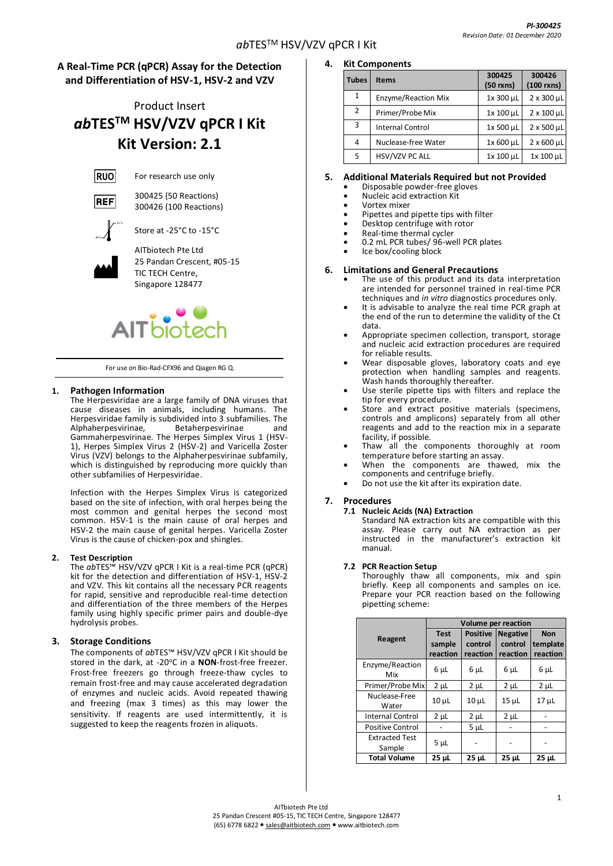# **A Real-Time PCR (qPCR) Assay for the Detection and Differentiation of HSV-1, HSV-2 and VZV**

# Product Insert *ab***TESTM HSV/VZV qPCR I Kit Kit Version: 2.1**

**RUO** For research use only

300425 (50 Reactions)



**REF** 

Store at -25°C to -15°C

300426 (100 Reactions)



AITbiotech Pte Ltd 25 Pandan Crescent, #05-15 TIC TECH Centre, Singapore 128477



For use on Bio-Rad-CFX96 and Qiagen RG Q.

# **1. Pathogen Information**

The Herpesviridae are a large family of DNA viruses that cause diseases in animals, including humans. The Herpesviridae family is subdivided into  $\tilde{3}$  subfamilies. The Alphaherpesvirinae, and Alphaherpesvirinae, Betaherpesvirinae and Gammaherpesvirinae. The Herpes Simplex Virus 1 (HSV-1), Herpes Simplex Virus 2 (HSV-2) and Varicella Zoster Virus (VZV) belongs to the Alphaherpesvirinae subfamily, which is distinguished by reproducing more quickly than other subfamilies of Herpesviridae.

Infection with the Herpes Simplex Virus is categorized based on the site of infection, with oral herpes being the most common and genital herpes the second most common. HSV-1 is the main cause of oral herpes and HSV-2 the main cause of genital herpes. Varicella Zoster Virus is the cause of chicken-pox and shingles.

# **2. Test Description**

The *ab*TES™ HSV/VZV qPCR I Kit is a real-time PCR (qPCR) kit for the detection and differentiation of HSV-1, HSV-2 and VZV*.* This kit contains all the necessary PCR reagents for rapid, sensitive and reproducible real-time detection and differentiation of the three members of the Herpes family using highly specific primer pairs and double-dye hydrolysis probes.

# **3. Storage Conditions**

The components of *ab*TES™ HSV/VZV qPCR I Kit should be stored in the dark, at -20°C in a **NON**-frost-free freezer. Frost-free freezers go through freeze-thaw cycles to remain frost-free and may cause accelerated degradation of enzymes and nucleic acids. Avoid repeated thawing and freezing (max 3 times) as this may lower the sensitivity. If reagents are used intermittently, it is suggested to keep the reagents frozen in aliquots.

# **4. Kit Components**

| <b>Tubes</b> | <b>Items</b>               | 300425<br>$(50$ rxns) | 300426<br>$(100$ rxns) |
|--------------|----------------------------|-----------------------|------------------------|
| $\mathbf{1}$ | <b>Enzyme/Reaction Mix</b> | 1x 300 µL             | 2 x 300 µL             |
| 2            | Primer/Probe Mix           | 1x 100 µL             | $2 \times 100$ µL      |
| 3            | <b>Internal Control</b>    | 1x 500 µL             | $2 \times 500$ µL      |
| 4            | Nuclease-free Water        | 1x 600 µL             | $2 \times 600$ µL      |
| 5            | HSV/VZV PC ALL             | 1x 100 µL             | 1x 100 µL              |

# **5. Additional Materials Required but not Provided**

- Disposable powder-free gloves
- Nucleic acid extraction Kit
- Vortex mixer
- Pipettes and pipette tips with filter
- Desktop centrifuge with rotor
- Real-time thermal cycler
- 0.2 mL PCR tubes/ 96-well PCR plates
- Ice box/cooling block

## **6. Limitations and General Precautions**

- The use of this product and its data interpretation are intended for personnel trained in real-time PCR techniques and *in vitro* diagnostics procedures only.
- It is advisable to analyze the real time PCR graph at the end of the run to determine the validity of the Ct data.
- Appropriate specimen collection, transport, storage and nucleic acid extraction procedures are required for reliable results.
- Wear disposable gloves, laboratory coats and eye protection when handling samples and reagents. Wash hands thoroughly thereafter.
- Use sterile pipette tips with filters and replace the tip for every procedure.
- Store and extract positive materials (specimens, controls and amplicons) separately from all other reagents and add to the reaction mix in a separate facility, if possible.
- Thaw all the components thoroughly at room temperature before starting an assay.
- When the components are thawed, mix the components and centrifuge briefly.
- Do not use the kit after its expiration date.

# **7. Procedures**

**7.1 Nucleic Acids (NA) Extraction**

Standard NA extraction kits are compatible with this assay. Please carry out NA extraction as per instructed in the manufacturer's extraction kit manual.

#### **7.2 PCR Reaction Setup**

Thoroughly thaw all components, mix and spin briefly. Keep all components and samples on ice. Prepare your PCR reaction based on the following pipetting scheme:

|                                 | Volume per reaction               |                                        |                                        |                                    |
|---------------------------------|-----------------------------------|----------------------------------------|----------------------------------------|------------------------------------|
| Reagent                         | <b>Test</b><br>sample<br>reaction | <b>Positive</b><br>control<br>reaction | <b>Negative</b><br>control<br>reaction | <b>Non</b><br>template<br>reaction |
| Enzyme/Reaction<br>Mix          | 6 µL                              | 6 µL                                   | $6 \mu L$                              | 6 µL                               |
| Primer/Probe Mix                | $2 \mu L$                         | $2 \mu L$                              | $2 \mu L$                              | $2 \mu L$                          |
| Nuclease-Free<br>Water          | 10 <sub>µ</sub>                   | $10 \mu L$                             | $15$ $\mu$ L                           | 17 <sub>µ</sub>                    |
| <b>Internal Control</b>         | $2 \mu L$                         | $2 \mu L$                              | $2 \mu L$                              |                                    |
| <b>Positive Control</b>         |                                   | 5 <sub>µ</sub>                         |                                        |                                    |
| <b>Extracted Test</b><br>Sample | $5 \mu L$                         |                                        |                                        |                                    |
| <b>Total Volume</b>             | 25 µL                             | 25 µL                                  | 25 µL                                  | 25 µL                              |